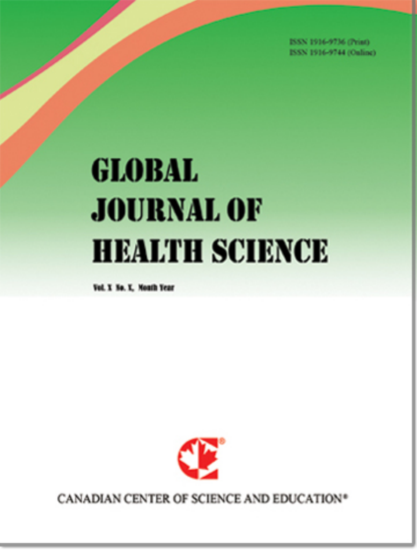ISSN 1916-9736 (Print) **ROOM 1016-0744 (Publica)** 

# **GLOBAL JOURNAL OF HEALTH SCIENCE**

Vol. Y. No. Y. Month Year



CANADIAN CENTER OF SCIENCE AND EDUCATION<sup>®</sup>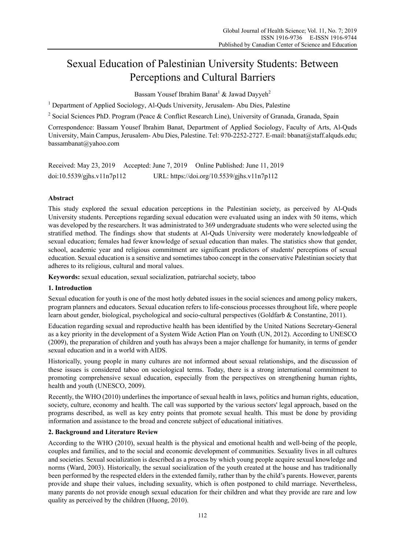# Sexual Education of Palestinian University Students: Between Perceptions and Cultural Barriers

Bassam Yousef Ibrahim Banat $^1$  & Jawad Dayyeh<sup>2</sup>

<sup>1</sup> Department of Applied Sociology, Al-Quds University, Jerusalem- Abu Dies, Palestine

<sup>2</sup> Social Sciences PhD. Program (Peace & Conflict Research Line), University of Granada, Granada, Spain

Correspondence: Bassam Yousef Ibrahim Banat, Department of Applied Sociology, Faculty of Arts, Al-Quds University, Main Campus, Jerusalem- Abu Dies, Palestine. Tel: 970-2252-2727. E-mail: bbanat@staff.alquds.edu; bassambanat@yahoo.com

Received: May 23, 2019 Accepted: June 7, 2019 Online Published: June 11, 2019 doi:10.5539/gjhs.v11n7p112 URL: https://doi.org/10.5539/gjhs.v11n7p112

### **Abstract**

This study explored the sexual education perceptions in the Palestinian society, as perceived by Al-Quds University students. Perceptions regarding sexual education were evaluated using an index with 50 items, which was developed by the researchers. It was administrated to 369 undergraduate students who were selected using the stratified method. The findings show that students at Al-Quds University were moderately knowledgeable of sexual education; females had fewer knowledge of sexual education than males. The statistics show that gender, school, academic year and religious commitment are significant predictors of students' perceptions of sexual education. Sexual education is a sensitive and sometimes taboo concept in the conservative Palestinian society that adheres to its religious, cultural and moral values.

**Keywords:** sexual education, sexual socialization, patriarchal society, taboo

#### **1. Introduction**

Sexual education for youth is one of the most hotly debated issues in the social sciences and among policy makers, program planners and educators. Sexual education refers to life-conscious processes throughout life, where people learn about gender, biological, psychological and socio-cultural perspectives (Goldfarb & Constantine, 2011).

Education regarding sexual and reproductive health has been identified by the United Nations Secretary-General as a key priority in the development of a System Wide Action Plan on Youth (UN, 2012). According to UNESCO (2009), the preparation of children and youth has always been a major challenge for humanity, in terms of gender sexual education and in a world with AIDS.

Historically, young people in many cultures are not informed about sexual relationships, and the discussion of these issues is considered taboo on sociological terms. Today, there is a strong international commitment to promoting comprehensive sexual education, especially from the perspectives on strengthening human rights, health and youth (UNESCO, 2009).

Recently, the WHO (2010) underlines the importance of sexual health in laws, politics and human rights, education, society, culture, economy and health. The call was supported by the various sectors' legal approach, based on the programs described, as well as key entry points that promote sexual health. This must be done by providing information and assistance to the broad and concrete subject of educational initiatives.

### **2. Background and Literature Review**

According to the WHO (2010), sexual health is the physical and emotional health and well-being of the people, couples and families, and to the social and economic development of communities. Sexuality lives in all cultures and societies. Sexual socialization is described as a process by which young people acquire sexual knowledge and norms (Ward, 2003). Historically, the sexual socialization of the youth created at the house and has traditionally been performed by the respected elders in the extended family, rather than by the child's parents. However, parents provide and shape their values, including sexuality, which is often postponed to child marriage. Nevertheless, many parents do not provide enough sexual education for their children and what they provide are rare and low quality as perceived by the children (Huong, 2010).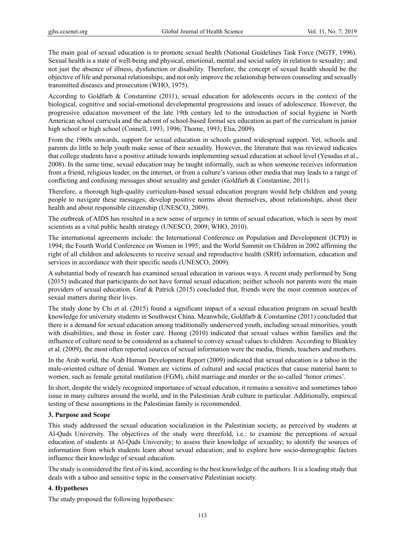The main goal of sexual education is to promote sexual health (National Guidelines Task Force (NGTF, 1996). Sexual health is a state of well-being and physical, emotional, mental and social safety in relation to sexuality; and not just the absence of illness, dysfunction or disability. Therefore, the concept of sexual health should be the objective of life and personal relationships, and not only improve the relationship between counseling and sexually transmitted diseases and prosecution (WHO, 1975).

According to Goldfarb & Constantine (2011), sexual education for adolescents occurs in the context of the biological, cognitive and social-emotional developmental progressions and issues of adolescence. However, the progressive education movement of the late 19th century led to the introduction of social hygiene in North American school curricula and the advent of school-based formal sex education as part of the curriculum in junior high school or high school (Connell, 1993, 1996; Thorne, 1993; Elia, 2009).

From the 1960s onwards, support for sexual education in schools gained widespread support. Yet, schools and parents do little to help youth make sense of their sexuality. However, the literature that was reviewed indicates that college students have a positive attitude towards implementing sexual education at school level (Yesudas et al., 2008). In the same time, sexual education may be taught informally, such as when someone receives information from a friend, religious leader, on the internet, or from a culture's various other media that may leads to a range of conflicting and confusing messages about sexuality and gender (Goldfarb & Constantine, 2011).

Therefore, a thorough high-quality curriculum-based sexual education program would help children and young people to navigate these messages; develop positive norms about themselves, about relationships, about their health and about responsible citizenship (UNESCO, 2009).

The outbreak of AIDS has resulted in a new sense of urgency in terms of sexual education, which is seen by most scientists as a vital public health strategy (UNESCO, 2009; WHO, 2010).

The international agreements include: the International Conference on Population and Development (ICPD) in 1994; the Fourth World Conference on Women in 1995; and the World Summit on Children in 2002 affirming the right of all children and adolescents to receive sexual and reproductive health (SRH) information, education and services in accordance with their specific needs (UNESCO, 2009).

A substantial body of research has examined sexual education in various ways. A recent study performed by Song (2015) indicated that participants do not have formal sexual education; neither schools nor parents were the main providers of sexual education. Graf & Patrick (2015) concluded that, friends were the most common sources of sexual matters during their lives.

The study done by Chi et al. (2015) found a significant impact of a sexual education program on sexual health knowledge for university students in Southwest China. Meanwhile, Goldfarb & Constantine (2011) concluded that there is a demand for sexual education among traditionally underserved youth, including sexual minorities, youth with disabilities, and those in foster care. Huong (2010) indicated that sexual values within families and the influence of culture need to be considered as a channel to convey sexual values to children. According to Bleakley et al. (2009), the most often reported sources of sexual information were the media, friends, teachers and mothers.

In the Arab world, the Arab Human Development Report (2009) indicated that sexual education is a taboo in the male-oriented culture of denial. Women are victims of cultural and social practices that cause material harm to women, such as female genital mutilation (FGM), child marriage and murder or the so-called 'honor crimes'.

In short, despite the widely recognized importance of sexual education, it remains a sensitive and sometimes taboo issue in many cultures around the world, and in the Palestinian Arab culture in particular. Additionally, empirical testing of these assumptions in the Palestinian family is recommended.

### **3. Purpose and Scope**

This study addressed the sexual education socialization in the Palestinian society, as perceived by students at Al-Quds University. The objectives of the study were threefold, i.e.: to examine the perceptions of sexual education of students at Al-Quds University; to assess their knowledge of sexuality; to identify the sources of information from which students learn about sexual education; and to explore how socio-demographic factors influence their knowledge of sexual education.

The study is considered the first of its kind, according to the best knowledge of the authors. It is a leading study that deals with a taboo and sensitive topic in the conservative Palestinian society.

### **4. Hypotheses**

The study proposed the following hypotheses: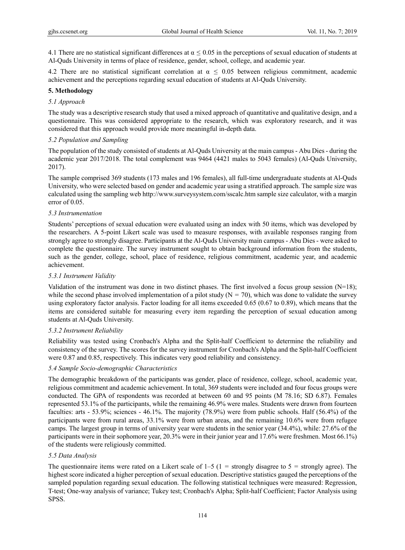4.1 There are no statistical significant differences at  $\alpha \leq 0.05$  in the perceptions of sexual education of students at Al-Quds University in terms of place of residence, gender, school, college, and academic year.

4.2 There are no statistical significant correlation at  $\alpha \leq 0.05$  between religious commitment, academic achievement and the perceptions regarding sexual education of students at Al-Quds University.

#### **5. Methodology**

#### *5.1 Approach*

The study was a descriptive research study that used a mixed approach of quantitative and qualitative design, and a questionnaire. This was considered appropriate to the research, which was exploratory research, and it was considered that this approach would provide more meaningful in-depth data.

#### *5.2 Population and Sampling*

The population of the study consisted of students at Al-Quds University at the main campus - Abu Dies - during the academic year 2017/2018. The total complement was 9464 (4421 males to 5043 females) (Al-Quds University, 2017).

The sample comprised 369 students (173 males and 196 females), all full-time undergraduate students at Al-Quds University, who were selected based on gender and academic year using a stratified approach. The sample size was calculated using the sampling web http://www.surveysystem.com/sscalc.htm sample size calculator, with a margin error of 0.05.

#### *5.3 Instrumentation*

Students' perceptions of sexual education were evaluated using an index with 50 items, which was developed by the researchers. A 5-point Likert scale was used to measure responses, with available responses ranging from strongly agree to strongly disagree. Participants at the Al-Quds University main campus - Abu Dies - were asked to complete the questionnaire. The survey instrument sought to obtain background information from the students, such as the gender, college, school, place of residence, religious commitment, academic year, and academic achievement.

#### *5.3.1 Instrument Validity*

Validation of the instrument was done in two distinct phases. The first involved a focus group session  $(N=18)$ ; while the second phase involved implementation of a pilot study  $(N = 70)$ , which was done to validate the survey using exploratory factor analysis. Factor loading for all items exceeded 0.65 (0.67 to 0.89), which means that the items are considered suitable for measuring every item regarding the perception of sexual education among students at Al-Quds University.

### *5.3.2 Instrument Reliability*

Reliability was tested using Cronbach's Alpha and the Split-half Coefficient to determine the reliability and consistency of the survey. The scores for the survey instrument for Cronbach's Alpha and the Split-half Coefficient were 0.87 and 0.85, respectively. This indicates very good reliability and consistency.

### *5.4 Sample Socio-demographic Characteristics*

The demographic breakdown of the participants was gender, place of residence, college, school, academic year, religious commitment and academic achievement. In total, 369 students were included and four focus groups were conducted. The GPA of respondents was recorded at between 60 and 95 points (M 78.16; SD 6.87). Females represented 53.1% of the participants, while the remaining 46.9% were males. Students were drawn from fourteen faculties: arts - 53.9%; sciences - 46.1%. The majority (78.9%) were from public schools. Half (56.4%) of the participants were from rural areas, 33.1% were from urban areas, and the remaining 10.6% were from refugee camps. The largest group in terms of university year were students in the senior year (34.4%), while: 27.6% of the participants were in their sophomore year, 20.3% were in their junior year and 17.6% were freshmen. Most 66.1%) of the students were religiously committed.

### *5.5 Data Analysis*

The questionnaire items were rated on a Likert scale of  $1-5$  ( $1 =$  strongly disagree to  $5 =$  strongly agree). The highest score indicated a higher perception of sexual education. Descriptive statistics gauged the perceptions of the sampled population regarding sexual education. The following statistical techniques were measured: Regression, T-test; One-way analysis of variance; Tukey test; Cronbach's Alpha; Split-half Coefficient; Factor Analysis using SPSS.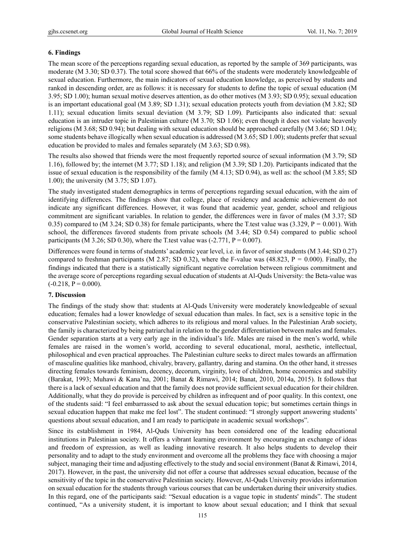## **6. Findings**

The mean score of the perceptions regarding sexual education, as reported by the sample of 369 participants, was moderate (M 3.30; SD 0.37). The total score showed that 66% of the students were moderately knowledgeable of sexual education. Furthermore, the main indicators of sexual education knowledge, as perceived by students and ranked in descending order, are as follows: it is necessary for students to define the topic of sexual education (M 3.95; SD 1.00); human sexual motive deserves attention, as do other motives (M 3.93; SD 0.95); sexual education is an important educational goal (M 3.89; SD 1.31); sexual education protects youth from deviation (M 3.82; SD 1.11); sexual education limits sexual deviation (M 3.79; SD 1.09). Participants also indicated that: sexual education is an intruder topic in Palestinian culture (M 3.70; SD 1.06); even though it does not violate heavenly religions (M 3.68; SD 0.94); but dealing with sexual education should be approached carefully (M 3.66; SD 1.04); some students behave illogically when sexual education is addressed (M 3.65; SD 1.00); students prefer that sexual education be provided to males and females separately (M 3.63; SD 0.98).

The results also showed that friends were the most frequently reported source of sexual information (M 3.79; SD 1.16), followed by; the internet (M 3.77; SD 1.18); and religion (M 3.39; SD 1.20). Participants indicated that the issue of sexual education is the responsibility of the family (M 4.13; SD 0.94), as well as: the school (M 3.85; SD 1.00); the university (M 3.75; SD 1.07).

The study investigated student demographics in terms of perceptions regarding sexual education, with the aim of identifying differences. The findings show that college, place of residency and academic achievement do not indicate any significant differences. However, it was found that academic year, gender, school and religious commitment are significant variables. In relation to gender, the differences were in favor of males (M 3.37; SD 0.35) compared to  $(M \ 3.24; SD \ 0.38)$  for female participants, where the T.test value was  $(3.329, P = 0.001)$ . With school, the differences favored students from private schools (M 3.44; SD 0.54) compared to public school participants (M 3.26; SD 0.30), where the T test value was  $(-2.771, P = 0.007)$ .

Differences were found in terms of students' academic year level, i.e. in favor of senior students (M 3.44; SD 0.27) compared to freshman participants (M 2.87; SD 0.32), where the F-value was (48.823,  $P = 0.000$ ). Finally, the findings indicated that there is a statistically significant negative correlation between religious commitment and the average score of perceptions regarding sexual education of students at Al-Quds University: the Beta-value was  $(-0.218, P = 0.000)$ .

### **7. Discussion**

The findings of the study show that: students at Al-Quds University were moderately knowledgeable of sexual education; females had a lower knowledge of sexual education than males. In fact, sex is a sensitive topic in the conservative Palestinian society, which adheres to its religious and moral values. In the Palestinian Arab society, the family is characterized by being patriarchal in relation to the gender differentiation between males and females. Gender separation starts at a very early age in the individual's life. Males are raised in the men's world, while females are raised in the women's world, according to several educational, moral, aesthetic, intellectual, philosophical and even practical approaches. The Palestinian culture seeks to direct males towards an affirmation of masculine qualities like manhood, chivalry, bravery, gallantry, daring and stamina. On the other hand, it stresses directing females towards feminism, decency, decorum, virginity, love of children, home economics and stability (Barakat, 1993; Muhawi & Kana'na, 2001; Banat & Rimawi, 2014; Banat, 2010, 2014a, 2015). It follows that there is a lack of sexual education and that the family does not provide sufficient sexual education for their children. Additionally, what they do provide is perceived by children as infrequent and of poor quality. In this context, one of the students said: "I feel embarrassed to ask about the sexual education topic; but sometimes certain things in sexual education happen that make me feel lost". The student continued: "I strongly support answering students' questions about sexual education, and I am ready to participate in academic sexual workshops".

Since its establishment in 1984, Al-Quds University has been considered one of the leading educational institutions in Palestinian society. It offers a vibrant learning environment by encouraging an exchange of ideas and freedom of expression, as well as leading innovative research. It also helps students to develop their personality and to adapt to the study environment and overcome all the problems they face with choosing a major subject, managing their time and adjusting effectively to the study and social environment (Banat & Rimawi, 2014, 2017). However, in the past, the university did not offer a course that addresses sexual education, because of the sensitivity of the topic in the conservative Palestinian society. However, Al-Quds University provides information on sexual education for the students through various courses that can be undertaken during their university studies. In this regard, one of the participants said: "Sexual education is a vague topic in students' minds". The student continued, "As a university student, it is important to know about sexual education; and I think that sexual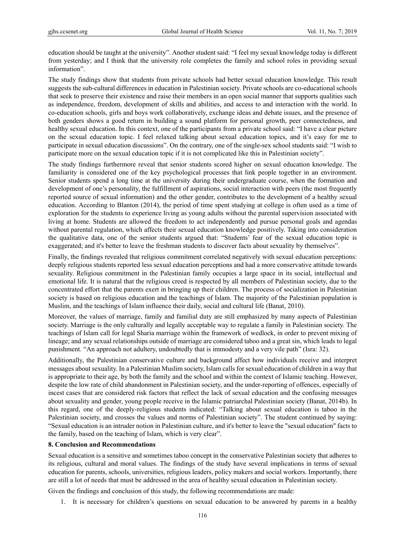education should be taught at the university". Another student said: "I feel my sexual knowledge today is different from yesterday; and I think that the university role completes the family and school roles in providing sexual information".

The study findings show that students from private schools had better sexual education knowledge. This result suggests the sub-cultural differences in education in Palestinian society. Private schools are co-educational schools that seek to preserve their existence and raise their members in an open social manner that supports qualities such as independence, freedom, development of skills and abilities, and access to and interaction with the world. In co-education schools, girls and boys work collaboratively, exchange ideas and debate issues, and the presence of both genders shows a good return in building a sound platform for personal growth, peer connectedness, and healthy sexual education. In this context, one of the participants from a private school said: "I have a clear picture on the sexual education topic. I feel relaxed talking about sexual education topics, and it's easy for me to participate in sexual education discussions". On the contrary, one of the single-sex school students said: "I wish to participate more on the sexual education topic if it is not complicated like this in Palestinian society".

The study findings furthermore reveal that senior students scored higher on sexual education knowledge. The familiarity is considered one of the key psychological processes that link people together in an environment. Senior students spend a long time at the university during their undergraduate course, when the formation and development of one's personality, the fulfillment of aspirations, social interaction with peers (the most frequently reported source of sexual information) and the other gender, contributes to the development of a healthy sexual education. According to Blanton (2014), the period of time spent studying at college is often used as a time of exploration for the students to experience living as young adults without the parental supervision associated with living at home. Students are allowed the freedom to act independently and pursue personal goals and agendas without parental regulation, which affects their sexual education knowledge positively. Taking into consideration the qualitative data, one of the senior students argued that: "Students' fear of the sexual education topic is exaggerated; and it's better to leave the freshman students to discover facts about sexuality by themselves".

Finally, the findings revealed that religious commitment correlated negatively with sexual education perceptions: deeply religious students reported less sexual education perceptions and had a more conservative attitude towards sexuality. Religious commitment in the Palestinian family occupies a large space in its social, intellectual and emotional life. It is natural that the religious creed is respected by all members of Palestinian society, due to the concentrated effort that the parents exert in bringing up their children. The process of socialization in Palestinian society is based on religious education and the teachings of Islam. The majority of the Palestinian population is Muslim, and the teachings of Islam influence their daily, social and cultural life (Banat, 2010).

Moreover, the values of marriage, family and familial duty are still emphasized by many aspects of Palestinian society. Marriage is the only culturally and legally acceptable way to regulate a family in Palestinian society. The teachings of Islam call for legal Sharia marriage within the framework of wedlock, in order to prevent mixing of lineage; and any sexual relationships outside of marriage are considered taboo and a great sin, which leads to legal punishment. "An approach not adultery, undoubtedly that is immodesty and a very vile path" (Isra: 32).

Additionally, the Palestinian conservative culture and background affect how individuals receive and interpret messages about sexuality. In a Palestinian Muslim society, Islam calls for sexual education of children in a way that is appropriate to their age, by both the family and the school and within the context of Islamic teaching. However, despite the low rate of child abandonment in Palestinian society, and the under-reporting of offences, especially of incest cases that are considered risk factors that reflect the lack of sexual education and the confusing messages about sexuality and gender, young people receive in the Islamic patriarchal Palestinian society (Banat, 2014b). In this regard, one of the deeply-religious students indicated: "Talking about sexual education is taboo in the Palestinian society, and crosses the values and norms of Palestinian society". The student continued by saying: "Sexual education is an intruder notion in Palestinian culture, and it's better to leave the "sexual education" facts to the family, based on the teaching of Islam, which is very clear".

#### **8. Conclusion and Recommendations**

Sexual education is a sensitive and sometimes taboo concept in the conservative Palestinian society that adheres to its religious, cultural and moral values. The findings of the study have several implications in terms of sexual education for parents, schools, universities, religious leaders, policy makers and social workers. Importantly, there are still a lot of needs that must be addressed in the area of healthy sexual education in Palestinian society.

Given the findings and conclusion of this study, the following recommendations are made:

1. It is necessary for children's questions on sexual education to be answered by parents in a healthy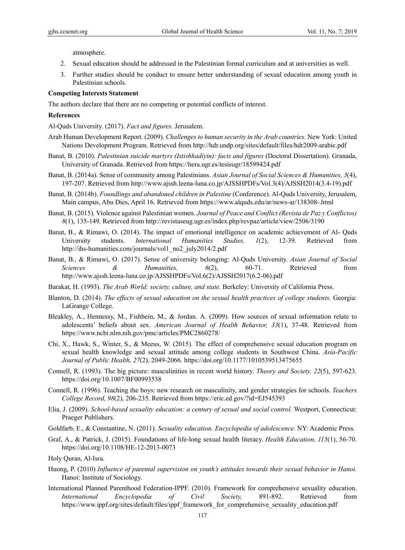atmosphere.

- 2. Sexual education should be addressed in the Palestinian formal curriculum and at universities as well.
- 3. Further studies should be conduct to ensure better understanding of sexual education among youth in Palestinian schools.

#### **Competing Interests Statement**

The authors declare that there are no competing or potential conflicts of interest.

#### **References**

Al-Quds University. (2017). *Fact and figures.* Jerusalem.

- Arab Human Development Report. (2009). *Challenges to human security in the Arab countries.* New York: United Nations Development Program. Retrieved from http://hdr.undp.org/sites/default/files/hdr2009-arabic.pdf
- Banat, B. (2010). *Palestinian suicide martyrs (Istishhadiyin): facts and figures* (Doctoral Dissertation). Granada, University of Granada. Retrieved from https://hera.ugr.es/tesisugr/18599424.pdf
- Banat, B. (2014a). Sense of community among Palestinians. *Asian Journal of Social Sciences & Humanities, 3*(4), 197-207. Retrieved from http://www.ajssh.leena-luna.co.jp/AJSSHPDFs/Vol.3(4)/AJSSH2014(3.4-19).pdf
- Banat, B. (2014b). *Foundlings and abandoned children in Palestine* (Conference). Al-Quds University, Jerusalem, Main campus, Abu Dies, April 16. Retrieved from https://www.alquds.edu/ar/news-ar/138308-.html
- Banat, B. (2015). Violence against Palestinian women. *Journal of Peace and Conflict (Revista de Paz y Conflictos) 8*(1), 135-149. Retrieved from http://revistaseug.ugr.es/index.php/revpaz/article/view/2506/3190
- Banat, B., & Rimawi, O. (2014). The impact of emotional intelligence on academic achievement of Al- Quds University students. *International Humanities Studies, 1*(2), 12-39. Retrieved from http://ihs-humanities.com/journals/vol1\_no2\_july2014/2.pdf
- Banat, B., & Rimawi, O. (2017). Sense of university belonging: Al-Quds University. *Asian Journal of Social Sciences & Humanities, 6*(2), 60-71. Retrieved from http://www.ajssh.leena-luna.co.jp/AJSSHPDFs/Vol.6(2)/AJSSH2017(6.2-06).pdf
- Barakat, H. (1993). *The Arab World: society, culture, and state.* Berkeley: University of California Press.
- Blanton, D. (2014). *The effects of sexual education on the sexual health practices of college students*. Georgia: LaGrange College.
- Bleakley, A., Hennessy, M., Fishbein, M., & Jordan. A. (2009). How sources of sexual information relate to adolescents' beliefs about sex. *American Journal of Health Behavior, 33*(1), 37-48. Retrieved from https://www.ncbi.nlm.nih.gov/pmc/articles/PMC2860278/
- Chi, X., Hawk, S., Winter, S., & Meeus, W. (2015). The effect of comprehensive sexual education program on sexual health knowledge and sexual attitude among college students in Southwest China. *Asia-Pacific Journal of Public Health, 27*(2), 2049-2066. https://doi.org/10.1177/1010539513475655
- Connell, R. (1993). The big picture: masculinities in recent world history. *Theory and Society, 22*(5), 597-623. https://doi.org/10.1007/BF00993538
- Connell, R. (1996). Teaching the boys: new research on masculinity, and gender strategies for schools. *Teachers College Record, 98*(2), 206-235. Retrieved from https://eric.ed.gov/?id=EJ545393
- Elia, J. (2009). *School-based sexuality education: a century of sexual and social control.* Westport, Connecticut: Praeger Publishers.
- Goldfarb, E., & Constantine, N. (2011). *Sexuality education. Encyclopedia of adolescence.* NY: Academic Press.
- Graf, A., & Patrick, J. (2015). Foundations of life-long sexual health literacy. *Health Education, 115*(1), 56-70. https://doi.org/10.1108/HE-12-2013-0073
- Holy Quran, Al-Isra.
- Huong, P. (2010) *Influence of parental supervision on youth's attitudes towards their sexual behavior in Hanoi.*  Hanoi: Institute of Sociology.
- International Planned Parenthood Federation-IPPF. (2010). Framework for comprehensive sexuality education. *International Encyclopedia of Civil Society,* 891-892. Retrieved from https://www.ippf.org/sites/default/files/ippf\_framework\_for\_comprehensive\_sexuality\_education.pdf